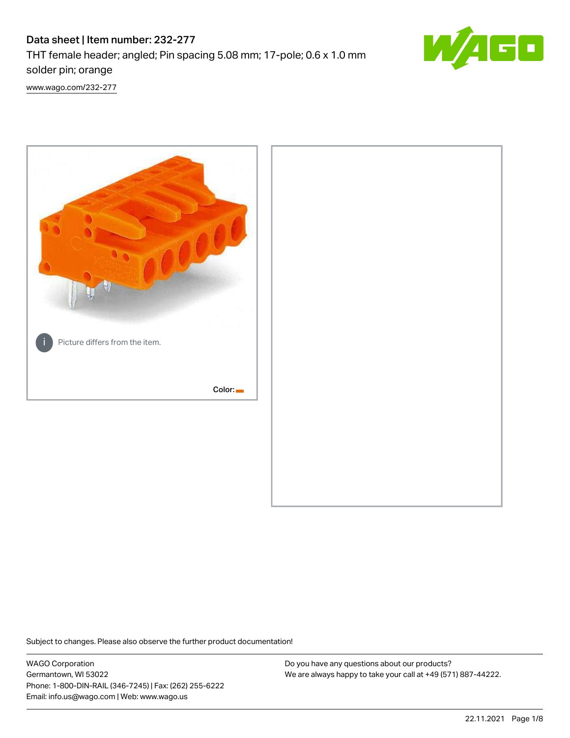# Data sheet | Item number: 232-277

THT female header; angled; Pin spacing 5.08 mm; 17-pole; 0.6 x 1.0 mm solder pin; orange



[www.wago.com/232-277](http://www.wago.com/232-277)



Subject to changes. Please also observe the further product documentation!

WAGO Corporation Germantown, WI 53022 Phone: 1-800-DIN-RAIL (346-7245) | Fax: (262) 255-6222 Email: info.us@wago.com | Web: www.wago.us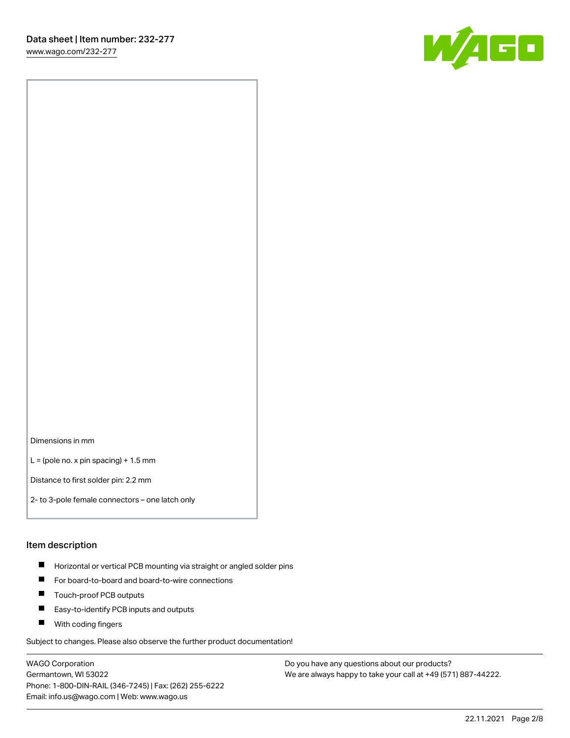[www.wago.com/232-277](http://www.wago.com/232-277)



Dimensions in mm

 $L =$  (pole no. x pin spacing) + 1.5 mm

Distance to first solder pin: 2.2 mm

2- to 3-pole female connectors – one latch only

#### Item description

- **Horizontal or vertical PCB mounting via straight or angled solder pins**
- For board-to-board and board-to-wire connections
- $\blacksquare$ Touch-proof PCB outputs
- $\blacksquare$ Easy-to-identify PCB inputs and outputs
- **Now With coding fingers**

Subject to changes. Please also observe the further product documentation!

WAGO Corporation Germantown, WI 53022 Phone: 1-800-DIN-RAIL (346-7245) | Fax: (262) 255-6222 Email: info.us@wago.com | Web: www.wago.us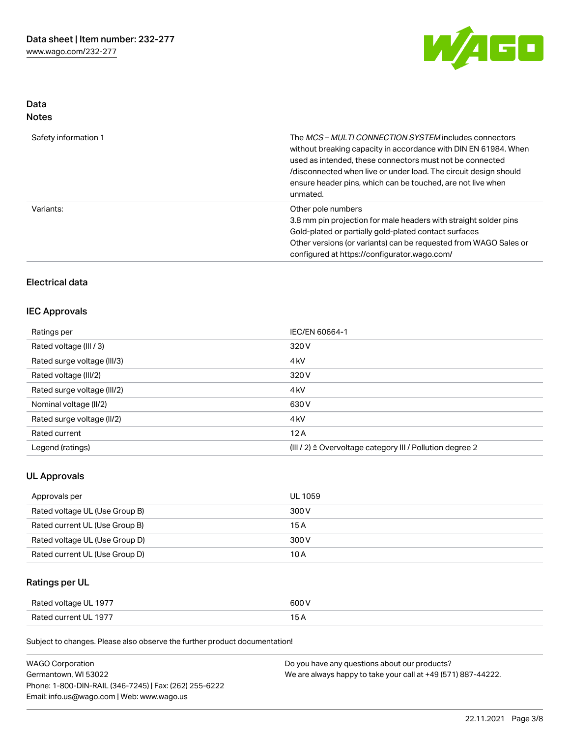

## Data Notes

| Safety information 1 | The <i>MCS – MULTI CONNECTION SYSTEM</i> includes connectors<br>without breaking capacity in accordance with DIN EN 61984. When<br>used as intended, these connectors must not be connected<br>/disconnected when live or under load. The circuit design should<br>ensure header pins, which can be touched, are not live when<br>unmated. |
|----------------------|--------------------------------------------------------------------------------------------------------------------------------------------------------------------------------------------------------------------------------------------------------------------------------------------------------------------------------------------|
| Variants:            | Other pole numbers<br>3.8 mm pin projection for male headers with straight solder pins<br>Gold-plated or partially gold-plated contact surfaces<br>Other versions (or variants) can be requested from WAGO Sales or<br>configured at https://configurator.wago.com/                                                                        |

## Electrical data

#### IEC Approvals

| Ratings per                 | IEC/EN 60664-1                                                       |
|-----------------------------|----------------------------------------------------------------------|
| Rated voltage (III / 3)     | 320 V                                                                |
| Rated surge voltage (III/3) | 4 <sub>k</sub> V                                                     |
| Rated voltage (III/2)       | 320 V                                                                |
| Rated surge voltage (III/2) | 4 <sub>k</sub> V                                                     |
| Nominal voltage (II/2)      | 630 V                                                                |
| Rated surge voltage (II/2)  | 4 <sub>k</sub> V                                                     |
| Rated current               | 12A                                                                  |
| Legend (ratings)            | (III / 2) $\triangleq$ Overvoltage category III / Pollution degree 2 |

#### UL Approvals

| Approvals per                  | UL 1059 |
|--------------------------------|---------|
| Rated voltage UL (Use Group B) | 300 V   |
| Rated current UL (Use Group B) | 15 A    |
| Rated voltage UL (Use Group D) | 300 V   |
| Rated current UL (Use Group D) | 10 A    |

# Ratings per UL

| Rated voltage UL 1977 | 600 V |
|-----------------------|-------|
| Rated current UL 1977 |       |

Subject to changes. Please also observe the further product documentation!

| <b>WAGO Corporation</b>                                | Do you have any questions about our products?                 |
|--------------------------------------------------------|---------------------------------------------------------------|
| Germantown, WI 53022                                   | We are always happy to take your call at +49 (571) 887-44222. |
| Phone: 1-800-DIN-RAIL (346-7245)   Fax: (262) 255-6222 |                                                               |
| Email: info.us@wago.com   Web: www.wago.us             |                                                               |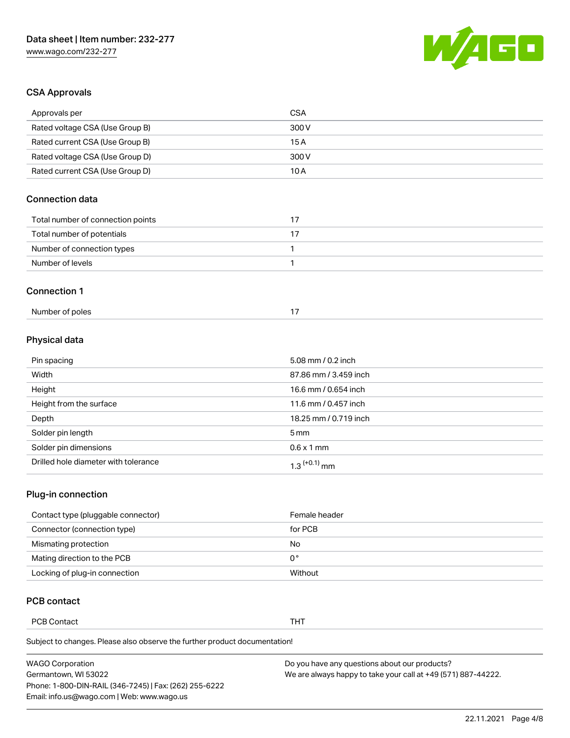

## CSA Approvals

| Approvals per                     | <b>CSA</b>   |
|-----------------------------------|--------------|
| Rated voltage CSA (Use Group B)   | 300 V        |
| Rated current CSA (Use Group B)   | 15A          |
| Rated voltage CSA (Use Group D)   | 300V         |
| Rated current CSA (Use Group D)   | 10A          |
| <b>Connection data</b>            |              |
| Total number of connection points | 17           |
| Total number of potentials        | 17           |
| Number of connection types        | 1            |
| Number of levels                  | $\mathbf{1}$ |
| <b>Connection 1</b>               |              |
| Number of poles                   | 17           |

# Physical data

| Pin spacing                          | 5.08 mm / 0.2 inch         |
|--------------------------------------|----------------------------|
| Width                                | 87.86 mm / 3.459 inch      |
| Height                               | 16.6 mm / 0.654 inch       |
| Height from the surface              | 11.6 mm / 0.457 inch       |
| Depth                                | 18.25 mm / 0.719 inch      |
| Solder pin length                    | 5 mm                       |
| Solder pin dimensions                | $0.6 \times 1$ mm          |
| Drilled hole diameter with tolerance | $1.3$ <sup>(+0.1)</sup> mm |

# Plug-in connection

| Contact type (pluggable connector) | Female header |
|------------------------------------|---------------|
| Connector (connection type)        | for PCB       |
| Mismating protection               | No            |
| Mating direction to the PCB        | 0°            |
| Locking of plug-in connection      | Without       |

## PCB contact

PCB Contact **THT** 

Subject to changes. Please also observe the further product documentation!

| <b>WAGO Corporation</b>                                | Do you have any questions about our products?                 |
|--------------------------------------------------------|---------------------------------------------------------------|
| Germantown, WI 53022                                   | We are always happy to take your call at +49 (571) 887-44222. |
| Phone: 1-800-DIN-RAIL (346-7245)   Fax: (262) 255-6222 |                                                               |
| Email: info.us@wago.com   Web: www.wago.us             |                                                               |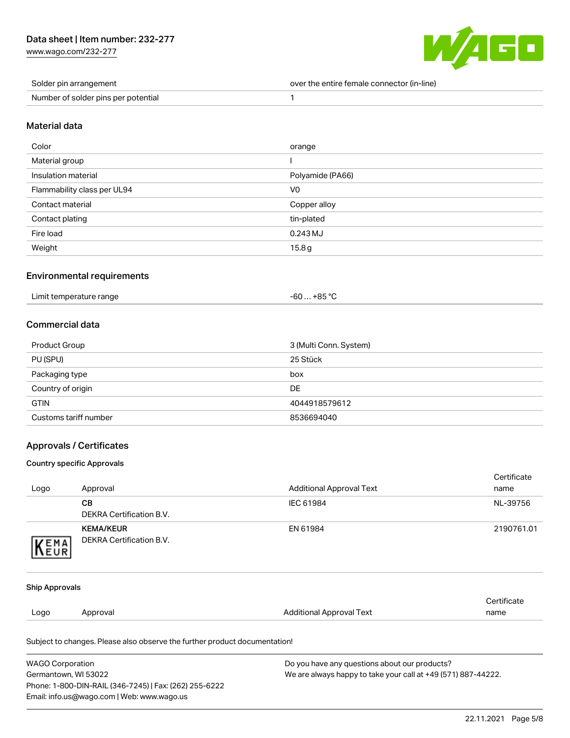[www.wago.com/232-277](http://www.wago.com/232-277)



| Solder pin arrangement              | over the entire female connector (in-line) |
|-------------------------------------|--------------------------------------------|
| Number of solder pins per potential |                                            |

#### Material data

| Color                       | orange           |
|-----------------------------|------------------|
| Material group              |                  |
| Insulation material         | Polyamide (PA66) |
| Flammability class per UL94 | V <sub>0</sub>   |
| Contact material            | Copper alloy     |
| Contact plating             | tin-plated       |
| Fire load                   | $0.243$ MJ       |
| Weight                      | 15.8g            |

#### Environmental requirements

|  | Limit temperature range | $-60+85 °C$ |
|--|-------------------------|-------------|
|--|-------------------------|-------------|

## Commercial data

| Product Group         | 3 (Multi Conn. System) |
|-----------------------|------------------------|
| PU (SPU)              | 25 Stück               |
| Packaging type        | box                    |
| Country of origin     | DE                     |
| <b>GTIN</b>           | 4044918579612          |
| Customs tariff number | 8536694040             |

#### Approvals / Certificates

#### Country specific Approvals

Phone: 1-800-DIN-RAIL (346-7245) | Fax: (262) 255-6222

Email: info.us@wago.com | Web: www.wago.us

|                         |                                                                            |                                                               | Certificate |  |
|-------------------------|----------------------------------------------------------------------------|---------------------------------------------------------------|-------------|--|
| Logo                    | Approval                                                                   | <b>Additional Approval Text</b>                               | name        |  |
|                         | CВ                                                                         | IEC 61984                                                     | NL-39756    |  |
|                         | <b>DEKRA Certification B.V.</b>                                            |                                                               |             |  |
|                         | <b>KEMA/KEUR</b>                                                           | EN 61984                                                      | 2190761.01  |  |
| KEMA                    | <b>DEKRA Certification B.V.</b>                                            |                                                               |             |  |
|                         |                                                                            |                                                               |             |  |
| <b>Ship Approvals</b>   |                                                                            |                                                               |             |  |
|                         |                                                                            |                                                               | Certificate |  |
| Logo                    | Approval                                                                   | <b>Additional Approval Text</b>                               | name        |  |
|                         | Subject to changes. Please also observe the further product documentation! |                                                               |             |  |
| <b>WAGO Corporation</b> | Do you have any questions about our products?                              |                                                               |             |  |
| Germantown, WI 53022    |                                                                            | We are always happy to take your call at +49 (571) 887-44222. |             |  |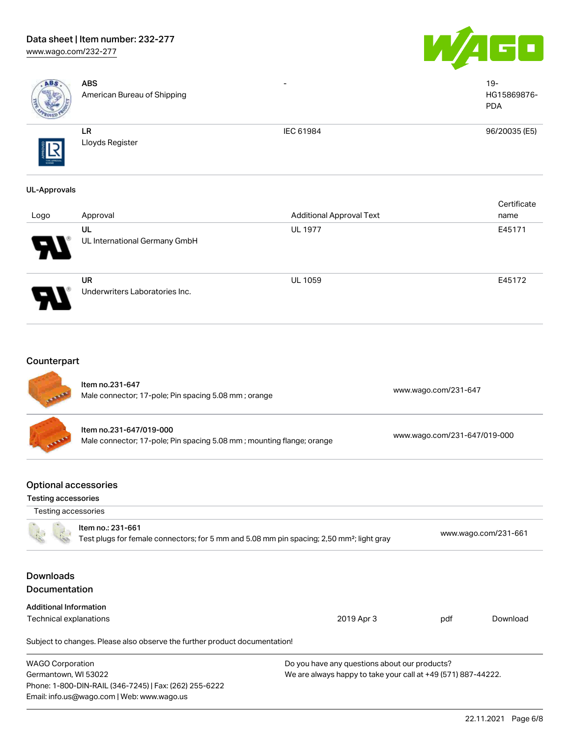# Data sheet | Item number: 232-277

[www.wago.com/232-277](http://www.wago.com/232-277)





| ABS                                                       | <b>ABS</b><br>American Bureau of Shipping                                                                                  |                                                                                                                |                              | $19 -$<br>HG15869876-<br><b>PDA</b> |
|-----------------------------------------------------------|----------------------------------------------------------------------------------------------------------------------------|----------------------------------------------------------------------------------------------------------------|------------------------------|-------------------------------------|
|                                                           | LR<br>Lloyds Register                                                                                                      | IEC 61984                                                                                                      |                              | 96/20035 (E5)                       |
| <b>UL-Approvals</b>                                       |                                                                                                                            |                                                                                                                |                              |                                     |
| Logo                                                      | Approval                                                                                                                   | <b>Additional Approval Text</b>                                                                                |                              | Certificate<br>name                 |
|                                                           | UL<br>UL International Germany GmbH                                                                                        | <b>UL 1977</b>                                                                                                 |                              | E45171                              |
|                                                           | <b>UR</b><br>Underwriters Laboratories Inc.                                                                                | UL 1059                                                                                                        |                              | E45172                              |
| Counterpart                                               | Item no.231-647<br>Male connector; 17-pole; Pin spacing 5.08 mm; orange                                                    |                                                                                                                | www.wago.com/231-647         |                                     |
|                                                           | Item no.231-647/019-000<br>Male connector; 17-pole; Pin spacing 5.08 mm; mounting flange; orange                           |                                                                                                                | www.wago.com/231-647/019-000 |                                     |
| <b>Optional accessories</b><br><b>Testing accessories</b> |                                                                                                                            |                                                                                                                |                              |                                     |
| Testing accessories                                       |                                                                                                                            |                                                                                                                |                              |                                     |
|                                                           | Item no.: 231-661<br>Test plugs for female connectors; for 5 mm and 5.08 mm pin spacing; 2,50 mm <sup>2</sup> ; light gray |                                                                                                                |                              | www.wago.com/231-661                |
| <b>Downloads</b><br>Documentation                         |                                                                                                                            |                                                                                                                |                              |                                     |
| <b>Additional Information</b>                             |                                                                                                                            |                                                                                                                |                              |                                     |
| <b>Technical explanations</b>                             |                                                                                                                            | 2019 Apr 3                                                                                                     | pdf                          | Download                            |
|                                                           | Subject to changes. Please also observe the further product documentation!                                                 |                                                                                                                |                              |                                     |
| <b>WAGO Corporation</b><br>Germantown, WI 53022           | Phone: 1-800-DIN-RAIL (346-7245)   Fax: (262) 255-6222<br>Email: info.us@wago.com   Web: www.wago.us                       | Do you have any questions about our products?<br>We are always happy to take your call at +49 (571) 887-44222. |                              |                                     |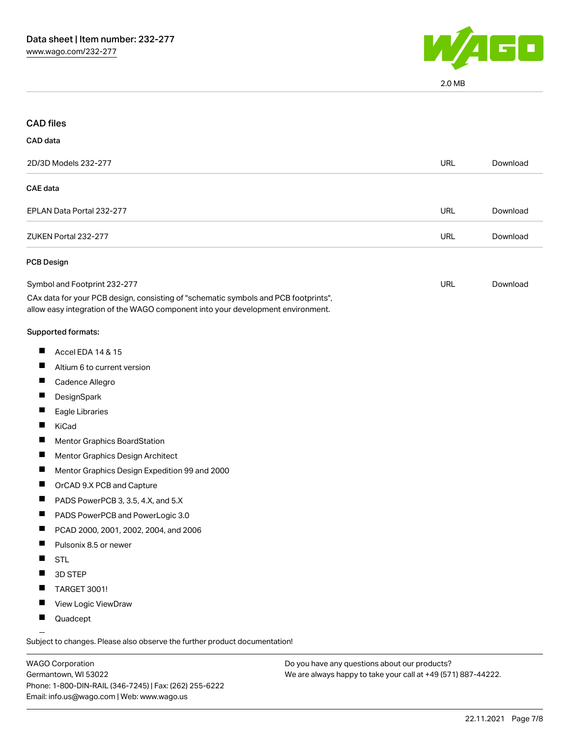

2.0 MB

| <b>CAD files</b>                                                                                                                                                       |            |          |
|------------------------------------------------------------------------------------------------------------------------------------------------------------------------|------------|----------|
| CAD data                                                                                                                                                               |            |          |
| 2D/3D Models 232-277                                                                                                                                                   | <b>URL</b> | Download |
| <b>CAE</b> data                                                                                                                                                        |            |          |
| EPLAN Data Portal 232-277                                                                                                                                              | <b>URL</b> | Download |
| ZUKEN Portal 232-277                                                                                                                                                   | <b>URL</b> | Download |
| PCB Design                                                                                                                                                             |            |          |
| Symbol and Footprint 232-277                                                                                                                                           | URL        | Download |
| CAx data for your PCB design, consisting of "schematic symbols and PCB footprints",<br>allow easy integration of the WAGO component into your development environment. |            |          |
| Supported formats:                                                                                                                                                     |            |          |
| Ш<br>Accel EDA 14 & 15                                                                                                                                                 |            |          |
| Altium 6 to current version                                                                                                                                            |            |          |
| п<br>Cadence Allegro                                                                                                                                                   |            |          |
| ш<br>DesignSpark                                                                                                                                                       |            |          |
| Eagle Libraries                                                                                                                                                        |            |          |
| ш<br>KiCad                                                                                                                                                             |            |          |
| Mentor Graphics BoardStation<br>ш                                                                                                                                      |            |          |
| Mentor Graphics Design Architect                                                                                                                                       |            |          |
| ш<br>Mentor Graphics Design Expedition 99 and 2000                                                                                                                     |            |          |
| L<br>OrCAD 9.X PCB and Capture                                                                                                                                         |            |          |
| PADS PowerPCB 3, 3.5, 4.X, and 5.X                                                                                                                                     |            |          |
| PADS PowerPCB and PowerLogic 3.0<br>L                                                                                                                                  |            |          |
| PCAD 2000, 2001, 2002, 2004, and 2006                                                                                                                                  |            |          |
| Pulsonix 8.5 or newer                                                                                                                                                  |            |          |
| <b>STL</b>                                                                                                                                                             |            |          |
| 3D STEP                                                                                                                                                                |            |          |
| TARGET 3001!                                                                                                                                                           |            |          |
| View Logic ViewDraw                                                                                                                                                    |            |          |
| Quadcept                                                                                                                                                               |            |          |
|                                                                                                                                                                        |            |          |

.<br>Subject to changes. Please also observe the further product documentation!

WAGO Corporation Germantown, WI 53022 Phone: 1-800-DIN-RAIL (346-7245) | Fax: (262) 255-6222 Email: info.us@wago.com | Web: www.wago.us